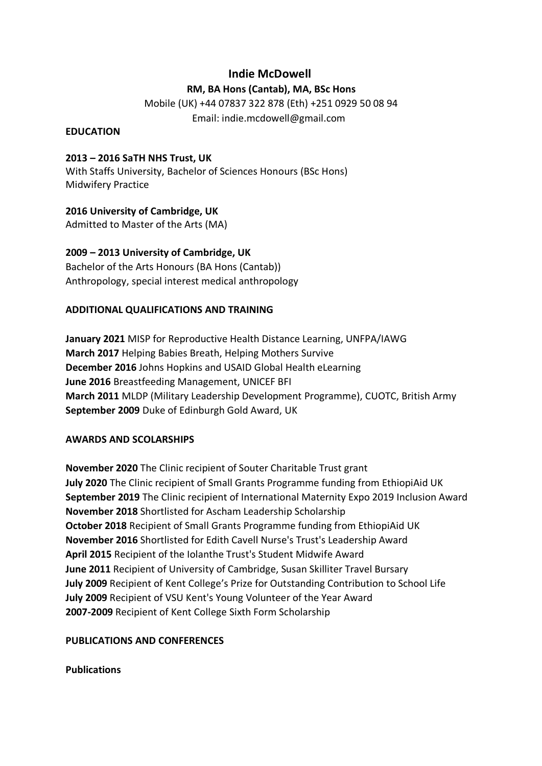# **Indie McDowell**

### **RM, BA Hons (Cantab), MA, BSc Hons**

Mobile (UK) +44 07837 322 878 (Eth) +251 0929 50 08 94 Email: indie.mcdowell@gmail.com

#### **EDUCATION**

## **2013 – 2016 SaTH NHS Trust, UK**

With Staffs University, Bachelor of Sciences Honours (BSc Hons) Midwifery Practice

**2016 University of Cambridge, UK**

Admitted to Master of the Arts (MA)

**2009 – 2013 University of Cambridge, UK** Bachelor of the Arts Honours (BA Hons (Cantab)) Anthropology, special interest medical anthropology

# **ADDITIONAL QUALIFICATIONS AND TRAINING**

**January 2021** MISP for Reproductive Health Distance Learning, UNFPA/IAWG **March 2017** Helping Babies Breath, Helping Mothers Survive **December 2016** Johns Hopkins and USAID Global Health eLearning **June 2016** Breastfeeding Management, UNICEF BFI **March 2011** MLDP (Military Leadership Development Programme), CUOTC, British Army **September 2009** Duke of Edinburgh Gold Award, UK

## **AWARDS AND SCOLARSHIPS**

**November 2020** The Clinic recipient of Souter Charitable Trust grant **July 2020** The Clinic recipient of Small Grants Programme funding from EthiopiAid UK **September 2019** The Clinic recipient of International Maternity Expo 2019 Inclusion Award **November 2018** Shortlisted for Ascham Leadership Scholarship **October 2018** Recipient of Small Grants Programme funding from EthiopiAid UK **November 2016** Shortlisted for Edith Cavell Nurse's Trust's Leadership Award **April 2015** Recipient of the Iolanthe Trust's Student Midwife Award **June 2011** Recipient of University of Cambridge, Susan Skilliter Travel Bursary **July 2009** Recipient of Kent College's Prize for Outstanding Contribution to School Life **July 2009** Recipient of VSU Kent's Young Volunteer of the Year Award **2007-2009** Recipient of Kent College Sixth Form Scholarship

## **PUBLICATIONS AND CONFERENCES**

**Publications**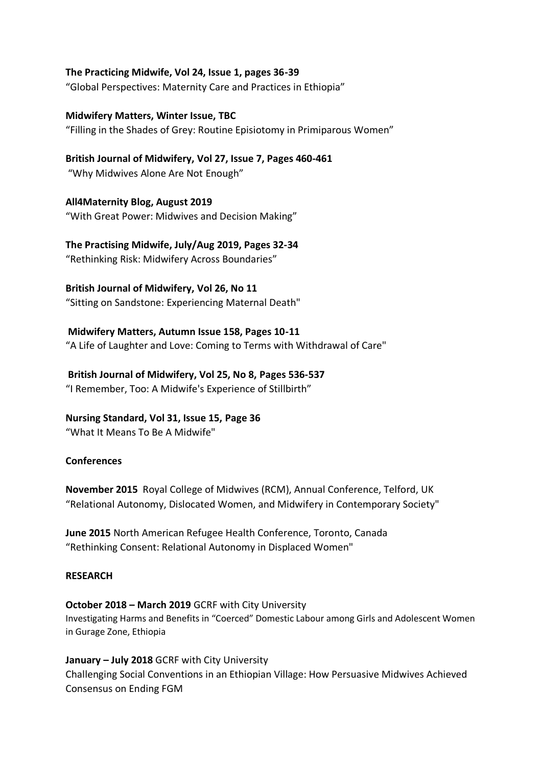### **The Practicing Midwife, Vol 24, Issue 1, pages 36-39**

"Global Perspectives: Maternity Care and Practices in Ethiopia"

## **Midwifery Matters, Winter Issue, TBC** "Filling in the Shades of Grey: Routine Episiotomy in Primiparous Women"

**British Journal of Midwifery, Vol 27, Issue 7, Pages 460-461** "Why Midwives Alone Are Not Enough"

**All4Maternity Blog, August 2019** "With Great Power: Midwives and Decision Making"

**The Practising Midwife, July/Aug 2019, Pages 32-34** "Rethinking Risk: Midwifery Across Boundaries"

#### **British Journal of Midwifery, Vol 26, No 11**

"Sitting on Sandstone: Experiencing Maternal Death"

#### **Midwifery Matters, Autumn Issue 158, Pages 10-11**

"A Life of Laughter and Love: Coming to Terms with Withdrawal of Care"

#### **British Journal of Midwifery, Vol 25, No 8, Pages 536-537**

"I Remember, Too: A Midwife's Experience of Stillbirth"

## **Nursing Standard, Vol 31, Issue 15, Page 36**

"What It Means To Be A Midwife"

#### **Conferences**

**November 2015** Royal College of Midwives (RCM), Annual Conference, Telford, UK "Relational Autonomy, Dislocated Women, and Midwifery in Contemporary Society"

**June 2015** North American Refugee Health Conference, Toronto, Canada "Rethinking Consent: Relational Autonomy in Displaced Women"

#### **RESEARCH**

**October 2018 – March 2019** GCRF with City University Investigating Harms and Benefits in "Coerced" Domestic Labour among Girls and Adolescent Women in Gurage Zone, Ethiopia

**January – July 2018** GCRF with City University Challenging Social Conventions in an Ethiopian Village: How Persuasive Midwives Achieved Consensus on Ending FGM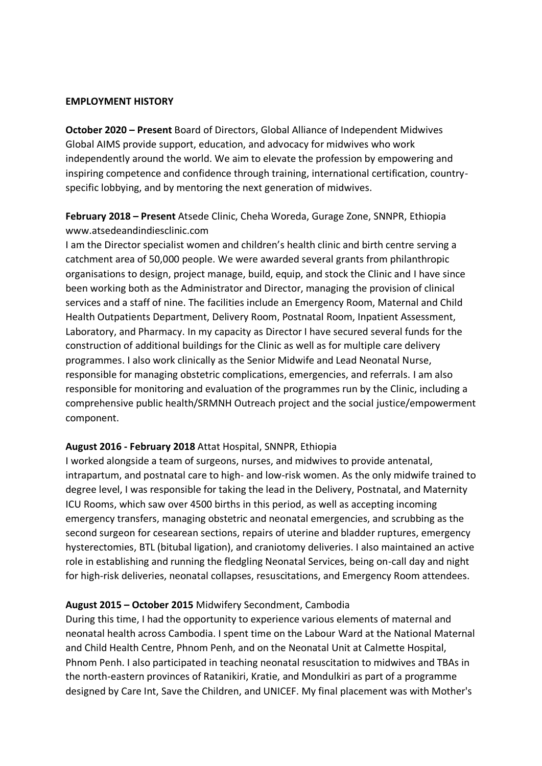#### **EMPLOYMENT HISTORY**

**October 2020 – Present** Board of Directors, Global Alliance of Independent Midwives Global AIMS provide support, education, and advocacy for midwives who work independently around the world. We aim to elevate the profession by empowering and inspiring competence and confidence through training, international certification, countryspecific lobbying, and by mentoring the next generation of midwives.

# **February 2018 – Present** Atsede Clinic, Cheha Woreda, Gurage Zone, SNNPR, Ethiopia www.atsedeandindiesclinic.com

I am the Director specialist women and children's health clinic and birth centre serving a catchment area of 50,000 people. We were awarded several grants from philanthropic organisations to design, project manage, build, equip, and stock the Clinic and I have since been working both as the Administrator and Director, managing the provision of clinical services and a staff of nine. The facilities include an Emergency Room, Maternal and Child Health Outpatients Department, Delivery Room, Postnatal Room, Inpatient Assessment, Laboratory, and Pharmacy. In my capacity as Director I have secured several funds for the construction of additional buildings for the Clinic as well as for multiple care delivery programmes. I also work clinically as the Senior Midwife and Lead Neonatal Nurse, responsible for managing obstetric complications, emergencies, and referrals. I am also responsible for monitoring and evaluation of the programmes run by the Clinic, including a comprehensive public health/SRMNH Outreach project and the social justice/empowerment component.

#### **August 2016 - February 2018** Attat Hospital, SNNPR, Ethiopia

I worked alongside a team of surgeons, nurses, and midwives to provide antenatal, intrapartum, and postnatal care to high- and low-risk women. As the only midwife trained to degree level, I was responsible for taking the lead in the Delivery, Postnatal, and Maternity ICU Rooms, which saw over 4500 births in this period, as well as accepting incoming emergency transfers, managing obstetric and neonatal emergencies, and scrubbing as the second surgeon for cesearean sections, repairs of uterine and bladder ruptures, emergency hysterectomies, BTL (bitubal ligation), and craniotomy deliveries. I also maintained an active role in establishing and running the fledgling Neonatal Services, being on-call day and night for high-risk deliveries, neonatal collapses, resuscitations, and Emergency Room attendees.

## **August 2015 – October 2015** Midwifery Secondment, Cambodia

During this time, I had the opportunity to experience various elements of maternal and neonatal health across Cambodia. I spent time on the Labour Ward at the National Maternal and Child Health Centre, Phnom Penh, and on the Neonatal Unit at Calmette Hospital, Phnom Penh. I also participated in teaching neonatal resuscitation to midwives and TBAs in the north-eastern provinces of Ratanikiri, Kratie, and Mondulkiri as part of a programme designed by Care Int, Save the Children, and UNICEF. My final placement was with Mother's